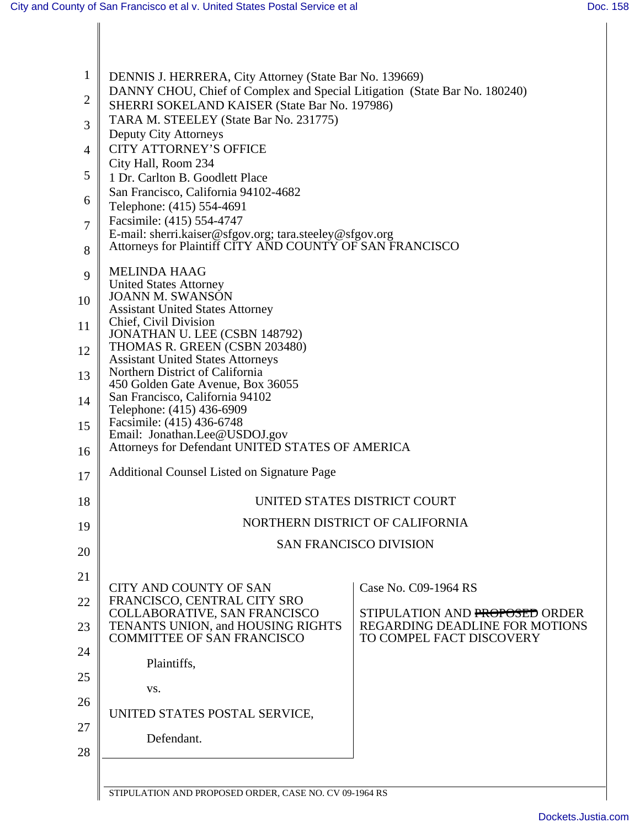| $\mathbf{1}$   | DENNIS J. HERRERA, City Attorney (State Bar No. 139669)                                                                                                                                                                                                                                                                                                                                                                                                                                                                     |                                                                  |  |  |  |
|----------------|-----------------------------------------------------------------------------------------------------------------------------------------------------------------------------------------------------------------------------------------------------------------------------------------------------------------------------------------------------------------------------------------------------------------------------------------------------------------------------------------------------------------------------|------------------------------------------------------------------|--|--|--|
| $\overline{c}$ | DANNY CHOU, Chief of Complex and Special Litigation (State Bar No. 180240)                                                                                                                                                                                                                                                                                                                                                                                                                                                  |                                                                  |  |  |  |
| 3              | SHERRI SOKELAND KAISER (State Bar No. 197986)<br>TARA M. STEELEY (State Bar No. 231775)                                                                                                                                                                                                                                                                                                                                                                                                                                     |                                                                  |  |  |  |
| 4              | Deputy City Attorneys<br><b>CITY ATTORNEY'S OFFICE</b>                                                                                                                                                                                                                                                                                                                                                                                                                                                                      |                                                                  |  |  |  |
| 5              | City Hall, Room 234                                                                                                                                                                                                                                                                                                                                                                                                                                                                                                         |                                                                  |  |  |  |
|                | 1 Dr. Carlton B. Goodlett Place<br>San Francisco, California 94102-4682                                                                                                                                                                                                                                                                                                                                                                                                                                                     |                                                                  |  |  |  |
| 6              | Telephone: (415) 554-4691<br>Facsimile: (415) 554-4747                                                                                                                                                                                                                                                                                                                                                                                                                                                                      |                                                                  |  |  |  |
| 7              | E-mail: sherri.kaiser@sfgov.org; tara.steeley@sfgov.org<br>Attorneys for Plaintiff CITY AND COUNTY OF SAN FRANCISCO                                                                                                                                                                                                                                                                                                                                                                                                         |                                                                  |  |  |  |
| 8              |                                                                                                                                                                                                                                                                                                                                                                                                                                                                                                                             |                                                                  |  |  |  |
| 9              | <b>MELINDA HAAG</b><br><b>United States Attorney</b><br><b>JOANN M. SWANSON</b><br><b>Assistant United States Attorney</b><br>Chief, Civil Division<br>JONATHAN U. LEE (CSBN 148792)<br>THOMAS R. GREEN (CSBN 203480)<br><b>Assistant United States Attorneys</b><br>Northern District of California<br>450 Golden Gate Avenue, Box 36055<br>San Francisco, California 94102<br>Telephone: (415) 436-6909<br>Facsimile: (415) 436-6748<br>Email: Jonathan.Lee@USDOJ.gov<br>Attorneys for Defendant UNITED STATES OF AMERICA |                                                                  |  |  |  |
| 10             |                                                                                                                                                                                                                                                                                                                                                                                                                                                                                                                             |                                                                  |  |  |  |
| 11             |                                                                                                                                                                                                                                                                                                                                                                                                                                                                                                                             |                                                                  |  |  |  |
| 12             |                                                                                                                                                                                                                                                                                                                                                                                                                                                                                                                             |                                                                  |  |  |  |
| 13             |                                                                                                                                                                                                                                                                                                                                                                                                                                                                                                                             |                                                                  |  |  |  |
| 14             |                                                                                                                                                                                                                                                                                                                                                                                                                                                                                                                             |                                                                  |  |  |  |
| 15             |                                                                                                                                                                                                                                                                                                                                                                                                                                                                                                                             |                                                                  |  |  |  |
| 16             |                                                                                                                                                                                                                                                                                                                                                                                                                                                                                                                             |                                                                  |  |  |  |
| 17             | <b>Additional Counsel Listed on Signature Page</b>                                                                                                                                                                                                                                                                                                                                                                                                                                                                          |                                                                  |  |  |  |
| 18             |                                                                                                                                                                                                                                                                                                                                                                                                                                                                                                                             | UNITED STATES DISTRICT COURT                                     |  |  |  |
| 19             |                                                                                                                                                                                                                                                                                                                                                                                                                                                                                                                             | NORTHERN DISTRICT OF CALIFORNIA                                  |  |  |  |
| 20             | <b>SAN FRANCISCO DIVISION</b>                                                                                                                                                                                                                                                                                                                                                                                                                                                                                               |                                                                  |  |  |  |
| 21             |                                                                                                                                                                                                                                                                                                                                                                                                                                                                                                                             |                                                                  |  |  |  |
| 22             | <b>CITY AND COUNTY OF SAN</b><br>FRANCISCO, CENTRAL CITY SRO                                                                                                                                                                                                                                                                                                                                                                                                                                                                | Case No. C09-1964 RS                                             |  |  |  |
| 23             | COLLABORATIVE, SAN FRANCISCO<br>TENANTS UNION, and HOUSING RIGHTS                                                                                                                                                                                                                                                                                                                                                                                                                                                           | STIPULATION AND PROPOSED ORDER<br>REGARDING DEADLINE FOR MOTIONS |  |  |  |
| 24             | <b>COMMITTEE OF SAN FRANCISCO</b>                                                                                                                                                                                                                                                                                                                                                                                                                                                                                           | TO COMPEL FACT DISCOVERY                                         |  |  |  |
| 25             | Plaintiffs,                                                                                                                                                                                                                                                                                                                                                                                                                                                                                                                 |                                                                  |  |  |  |
| 26             | VS.                                                                                                                                                                                                                                                                                                                                                                                                                                                                                                                         |                                                                  |  |  |  |
| 27             | UNITED STATES POSTAL SERVICE,                                                                                                                                                                                                                                                                                                                                                                                                                                                                                               |                                                                  |  |  |  |
| 28             | Defendant.                                                                                                                                                                                                                                                                                                                                                                                                                                                                                                                  |                                                                  |  |  |  |
|                |                                                                                                                                                                                                                                                                                                                                                                                                                                                                                                                             |                                                                  |  |  |  |
|                | STIPULATION AND PROPOSED ORDER, CASE NO. CV 09-1964 RS                                                                                                                                                                                                                                                                                                                                                                                                                                                                      |                                                                  |  |  |  |

STIPULATION AND PROPOSED ORDER, CASE NO. CV 09-1964 RS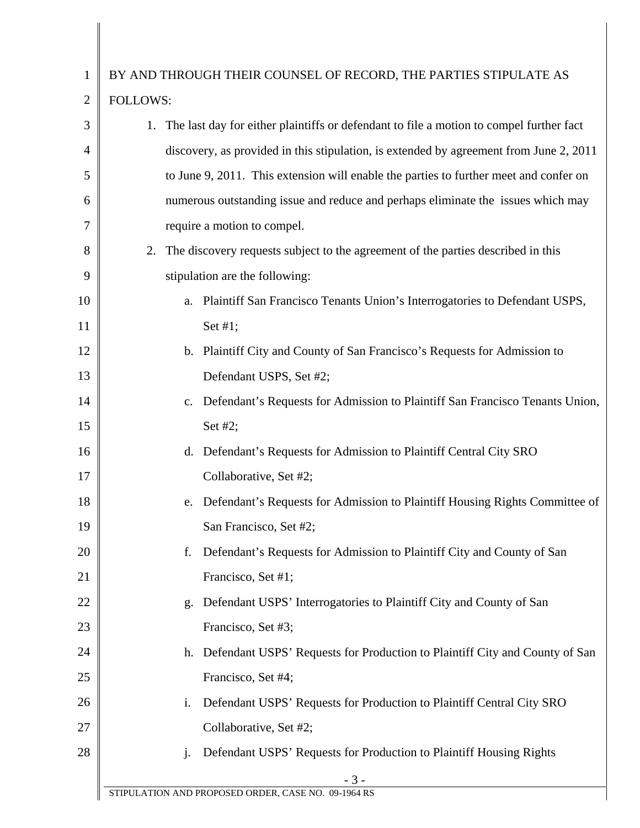| 1              | BY AND THROUGH THEIR COUNSEL OF RECORD, THE PARTIES STIPULATE AS                               |  |  |  |
|----------------|------------------------------------------------------------------------------------------------|--|--|--|
| $\overline{2}$ | <b>FOLLOWS:</b>                                                                                |  |  |  |
| 3              | The last day for either plaintiffs or defendant to file a motion to compel further fact<br>1.  |  |  |  |
| 4              | discovery, as provided in this stipulation, is extended by agreement from June 2, 2011         |  |  |  |
| 5              | to June 9, 2011. This extension will enable the parties to further meet and confer on          |  |  |  |
| 6              | numerous outstanding issue and reduce and perhaps eliminate the issues which may               |  |  |  |
| 7              | require a motion to compel.                                                                    |  |  |  |
| 8              | 2.<br>The discovery requests subject to the agreement of the parties described in this         |  |  |  |
| 9              | stipulation are the following:                                                                 |  |  |  |
| 10             | a. Plaintiff San Francisco Tenants Union's Interrogatories to Defendant USPS,                  |  |  |  |
| 11             | Set #1;                                                                                        |  |  |  |
| 12             | Plaintiff City and County of San Francisco's Requests for Admission to<br>b.                   |  |  |  |
| 13             | Defendant USPS, Set #2;                                                                        |  |  |  |
| 14             | Defendant's Requests for Admission to Plaintiff San Francisco Tenants Union,<br>$\mathbf{c}$ . |  |  |  |
| 15             | Set #2;                                                                                        |  |  |  |
| 16             | Defendant's Requests for Admission to Plaintiff Central City SRO<br>d.                         |  |  |  |
| 17             | Collaborative, Set #2;                                                                         |  |  |  |
| 18             | Defendant's Requests for Admission to Plaintiff Housing Rights Committee of<br>e.              |  |  |  |
| 19             | San Francisco, Set #2;                                                                         |  |  |  |
| 20             | Defendant's Requests for Admission to Plaintiff City and County of San<br>f.                   |  |  |  |
| 21             | Francisco, Set #1;                                                                             |  |  |  |
| 22             | Defendant USPS' Interrogatories to Plaintiff City and County of San<br>g.                      |  |  |  |
| 23             | Francisco, Set #3;                                                                             |  |  |  |
| 24             | Defendant USPS' Requests for Production to Plaintiff City and County of San<br>h.              |  |  |  |
| 25             | Francisco, Set #4;                                                                             |  |  |  |
| 26             | Defendant USPS' Requests for Production to Plaintiff Central City SRO<br>i.                    |  |  |  |
| 27             | Collaborative, Set #2;                                                                         |  |  |  |
| 28             | Defendant USPS' Requests for Production to Plaintiff Housing Rights<br>j.                      |  |  |  |
|                | $-3-$                                                                                          |  |  |  |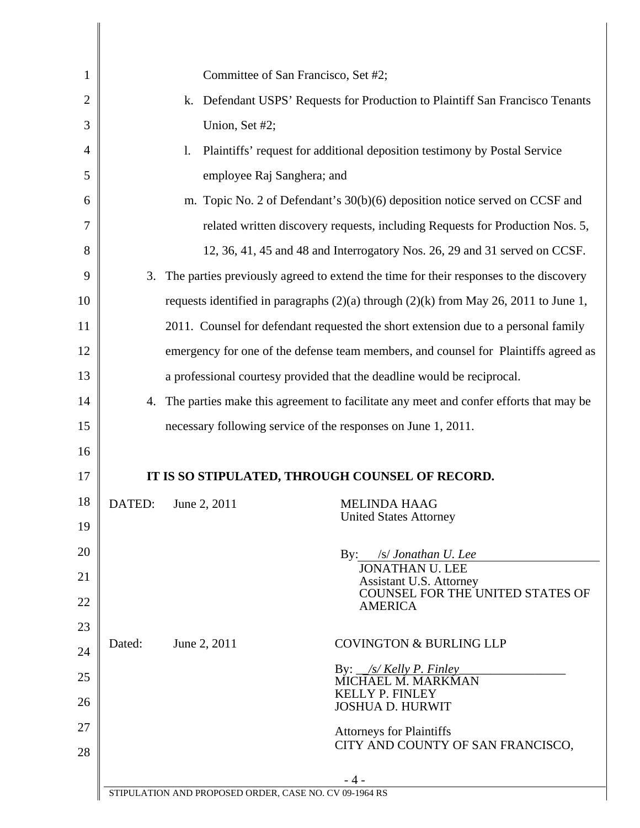| 1              |                                                                                     | Committee of San Francisco, Set #2;                                             |                                                                                          |  |
|----------------|-------------------------------------------------------------------------------------|---------------------------------------------------------------------------------|------------------------------------------------------------------------------------------|--|
| $\overline{2}$ |                                                                                     | k. Defendant USPS' Requests for Production to Plaintiff San Francisco Tenants   |                                                                                          |  |
| 3              |                                                                                     | Union, Set #2;                                                                  |                                                                                          |  |
| $\overline{4}$ |                                                                                     | Plaintiffs' request for additional deposition testimony by Postal Service<br>1. |                                                                                          |  |
| 5              | employee Raj Sanghera; and                                                          |                                                                                 |                                                                                          |  |
| 6              | m. Topic No. 2 of Defendant's 30(b)(6) deposition notice served on CCSF and         |                                                                                 |                                                                                          |  |
| $\overline{7}$ | related written discovery requests, including Requests for Production Nos. 5,       |                                                                                 |                                                                                          |  |
| 8              |                                                                                     |                                                                                 | 12, 36, 41, 45 and 48 and Interrogatory Nos. 26, 29 and 31 served on CCSF.               |  |
| 9              |                                                                                     |                                                                                 | 3. The parties previously agreed to extend the time for their responses to the discovery |  |
| 10             |                                                                                     |                                                                                 | requests identified in paragraphs $(2)(a)$ through $(2)(k)$ from May 26, 2011 to June 1, |  |
| 11             |                                                                                     |                                                                                 | 2011. Counsel for defendant requested the short extension due to a personal family       |  |
| 12             | emergency for one of the defense team members, and counsel for Plaintiffs agreed as |                                                                                 |                                                                                          |  |
| 13             |                                                                                     |                                                                                 | a professional courtesy provided that the deadline would be reciprocal.                  |  |
| 14             |                                                                                     |                                                                                 | 4. The parties make this agreement to facilitate any meet and confer efforts that may be |  |
| 15             |                                                                                     |                                                                                 | necessary following service of the responses on June 1, 2011.                            |  |
| 16             |                                                                                     |                                                                                 |                                                                                          |  |
| 17             |                                                                                     |                                                                                 | IT IS SO STIPULATED, THROUGH COUNSEL OF RECORD.                                          |  |
| 18             | DATED:                                                                              | June 2, 2011                                                                    | <b>MELINDA HAAG</b><br><b>United States Attorney</b>                                     |  |
| 19             |                                                                                     |                                                                                 |                                                                                          |  |
| 20             |                                                                                     |                                                                                 | By: /s/ Jonathan U. Lee<br><b>JONATHAN U. LEE</b>                                        |  |
| 21             |                                                                                     |                                                                                 | Assistant U.S. Attorney<br>COUNSEL FOR THE UNITED STATES OF                              |  |
| 22             |                                                                                     |                                                                                 | <b>AMERICA</b>                                                                           |  |
| 23             | Dated:                                                                              | June 2, 2011                                                                    | <b>COVINGTON &amp; BURLING LLP</b>                                                       |  |
| 24             |                                                                                     |                                                                                 | By: $\frac{1}{s}$ Kelly P. Finley                                                        |  |
| 25             |                                                                                     |                                                                                 | MICHAEL M. MARKMAN<br><b>KELLY P. FINLEY</b>                                             |  |
| 26             |                                                                                     |                                                                                 | <b>JOSHUA D. HURWIT</b>                                                                  |  |
| 27             |                                                                                     |                                                                                 | <b>Attorneys for Plaintiffs</b><br>CITY AND COUNTY OF SAN FRANCISCO,                     |  |
| 28             |                                                                                     |                                                                                 |                                                                                          |  |
|                |                                                                                     | STIPULATION AND PROPOSED ORDER, CASE NO. CV 09-1964 RS                          | - 4 -                                                                                    |  |
|                |                                                                                     |                                                                                 |                                                                                          |  |